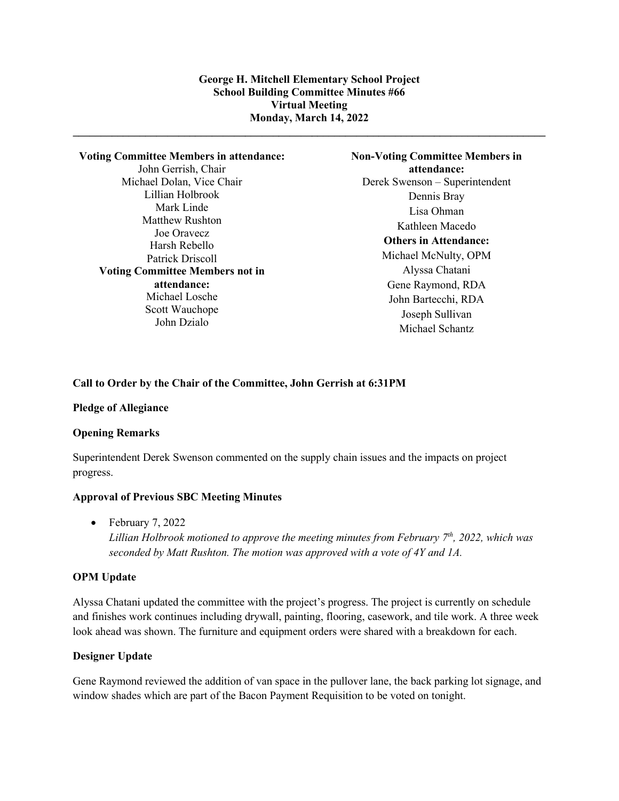**\_\_\_\_\_\_\_\_\_\_\_\_\_\_\_\_\_\_\_\_\_\_\_\_\_\_\_\_\_\_\_\_\_\_\_\_\_\_\_\_\_\_\_\_\_\_\_\_\_\_\_\_\_\_\_\_\_\_\_\_\_\_\_\_\_\_\_\_\_\_\_\_\_\_\_\_\_\_\_\_\_\_\_\_\_**

### **Voting Committee Members in attendance:**

John Gerrish, Chair Michael Dolan, Vice Chair Lillian Holbrook Mark Linde Matthew Rushton Joe Oravecz Harsh Rebello Patrick Driscoll **Voting Committee Members not in attendance:** Michael Losche Scott Wauchope John Dzialo

**Non-Voting Committee Members in attendance:** Derek Swenson – Superintendent Dennis Bray Lisa Ohman Kathleen Macedo **Others in Attendance:** Michael McNulty, OPM Alyssa Chatani Gene Raymond, RDA John Bartecchi, RDA Joseph Sullivan Michael Schantz

# **Call to Order by the Chair of the Committee, John Gerrish at 6:31PM**

### **Pledge of Allegiance**

### **Opening Remarks**

Superintendent Derek Swenson commented on the supply chain issues and the impacts on project progress.

### **Approval of Previous SBC Meeting Minutes**

• February 7, 2022 *Lillian Holbrook motioned to approve the meeting minutes from February 7th, 2022, which was seconded by Matt Rushton. The motion was approved with a vote of 4Y and 1A.*

### **OPM Update**

Alyssa Chatani updated the committee with the project's progress. The project is currently on schedule and finishes work continues including drywall, painting, flooring, casework, and tile work. A three week look ahead was shown. The furniture and equipment orders were shared with a breakdown for each.

# **Designer Update**

Gene Raymond reviewed the addition of van space in the pullover lane, the back parking lot signage, and window shades which are part of the Bacon Payment Requisition to be voted on tonight.